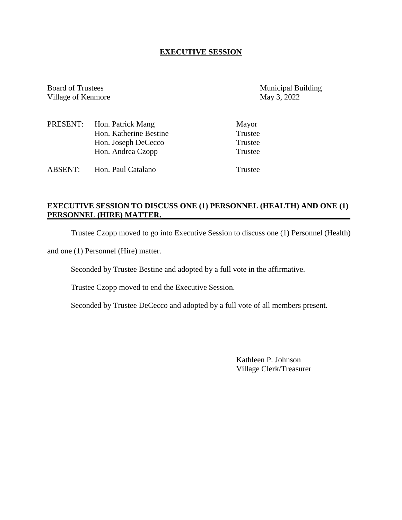## **EXECUTIVE SESSION**

Board of Trustees Municipal Building<br>
Village of Kenmore May 3, 2022 Village of Kenmore

|                | PRESENT: Hon. Patrick Mang | Mayor   |
|----------------|----------------------------|---------|
|                | Hon. Katherine Bestine     | Trustee |
|                | Hon. Joseph DeCecco        | Trustee |
|                | Hon. Andrea Czopp          | Trustee |
| <b>ABSENT:</b> | Hon. Paul Catalano         | Trustee |

# **EXECUTIVE SESSION TO DISCUSS ONE (1) PERSONNEL (HEALTH) AND ONE (1)** PERSONNEL (HIRE) MATTER.

Trustee Czopp moved to go into Executive Session to discuss one (1) Personnel (Health)

and one (1) Personnel (Hire) matter.

Seconded by Trustee Bestine and adopted by a full vote in the affirmative.

Trustee Czopp moved to end the Executive Session.

Seconded by Trustee DeCecco and adopted by a full vote of all members present.

Kathleen P. Johnson Village Clerk/Treasurer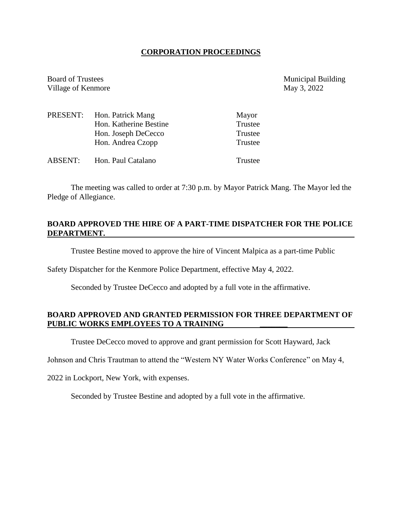## **CORPORATION PROCEEDINGS**

Board of Trustees Municipal Building Village of Kenmore May 3, 2022

|         | PRESENT: Hon. Patrick Mang | Mayor   |
|---------|----------------------------|---------|
|         | Hon. Katherine Bestine     | Trustee |
|         | Hon. Joseph DeCecco        | Trustee |
|         | Hon. Andrea Czopp          | Trustee |
| ABSENT: | Hon. Paul Catalano         | Trustee |

The meeting was called to order at 7:30 p.m. by Mayor Patrick Mang. The Mayor led the Pledge of Allegiance.

## **BOARD APPROVED THE HIRE OF A PART-TIME DISPATCHER FOR THE POLICE DEPARTMENT.**

Trustee Bestine moved to approve the hire of Vincent Malpica as a part-time Public

Safety Dispatcher for the Kenmore Police Department, effective May 4, 2022.

Seconded by Trustee DeCecco and adopted by a full vote in the affirmative.

## **BOARD APPROVED AND GRANTED PERMISSION FOR THREE DEPARTMENT OF PUBLIC WORKS EMPLOYEES TO A TRAINING \_\_\_\_\_\_\_**

Trustee DeCecco moved to approve and grant permission for Scott Hayward, Jack

Johnson and Chris Trautman to attend the "Western NY Water Works Conference" on May 4,

2022 in Lockport, New York, with expenses.

Seconded by Trustee Bestine and adopted by a full vote in the affirmative.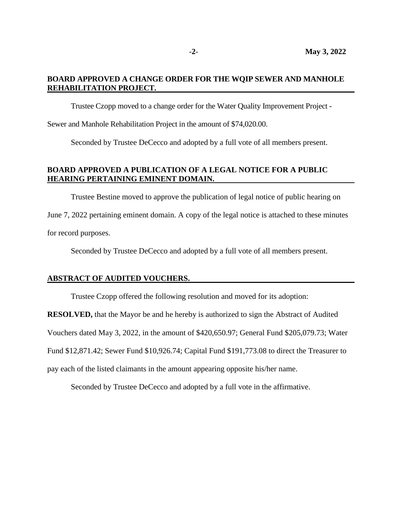## **BOARD APPROVED A CHANGE ORDER FOR THE WQIP SEWER AND MANHOLE REHABILITATION PROJECT.**

Trustee Czopp moved to a change order for the Water Quality Improvement Project -

Sewer and Manhole Rehabilitation Project in the amount of \$74,020.00.

Seconded by Trustee DeCecco and adopted by a full vote of all members present.

# **BOARD APPROVED A PUBLICATION OF A LEGAL NOTICE FOR A PUBLIC HEARING PERTAINING EMINENT DOMAIN.**

Trustee Bestine moved to approve the publication of legal notice of public hearing on

June 7, 2022 pertaining eminent domain. A copy of the legal notice is attached to these minutes for record purposes.

Seconded by Trustee DeCecco and adopted by a full vote of all members present.

#### **ABSTRACT OF AUDITED VOUCHERS.**

Trustee Czopp offered the following resolution and moved for its adoption:

**RESOLVED,** that the Mayor be and he hereby is authorized to sign the Abstract of Audited

Vouchers dated May 3, 2022, in the amount of \$420,650.97; General Fund \$205,079.73; Water

Fund \$12,871.42; Sewer Fund \$10,926.74; Capital Fund \$191,773.08 to direct the Treasurer to

pay each of the listed claimants in the amount appearing opposite his/her name.

Seconded by Trustee DeCecco and adopted by a full vote in the affirmative.